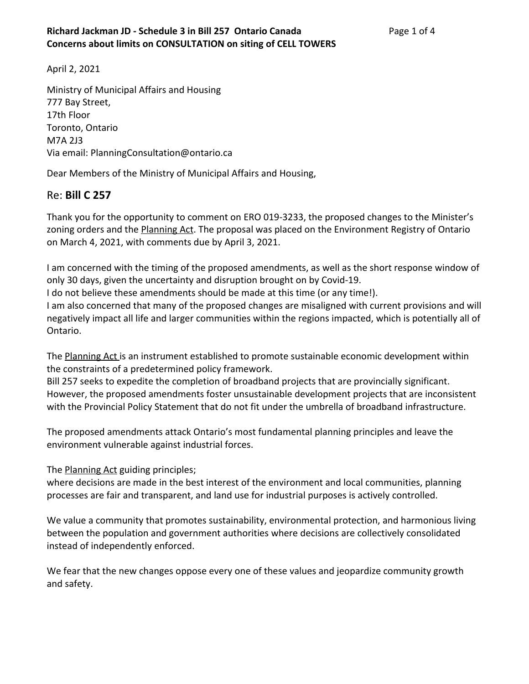April 2, 2021

Ministry of Municipal Affairs and Housing 777 Bay Street, 17th Floor Toronto, Ontario M7A 2J3 Via email: PlanningConsultation@ontario.ca

Dear Members of the Ministry of Municipal Affairs and Housing,

## Re: **Bill C 257**

Thank you for the opportunity to comment on ERO 019-3233, the proposed changes to the Minister's zoning orders and the **Planning Act**. The proposal was placed on the Environment Registry of Ontario on March 4, 2021, with comments due by April 3, 2021.

I am concerned with the timing of the proposed amendments, as well as the short response window of only 30 days, given the uncertainty and disruption brought on by Covid-19.

I do not believe these amendments should be made at this time (or any time!).

I am also concerned that many of the proposed changes are misaligned with current provisions and will negatively impact all life and larger communities within the regions impacted, which is potentially all of Ontario.

The Planning Act is an instrument established to promote sustainable economic development within the constraints of a predetermined policy framework.

Bill 257 seeks to expedite the completion of broadband projects that are provincially significant. However, the proposed amendments foster unsustainable development projects that are inconsistent with the Provincial Policy Statement that do not fit under the umbrella of broadband infrastructure.

The proposed amendments attack Ontario's most fundamental planning principles and leave the environment vulnerable against industrial forces.

The **Planning Act** guiding principles;

where decisions are made in the best interest of the environment and local communities, planning processes are fair and transparent, and land use for industrial purposes is actively controlled.

We value a community that promotes sustainability, environmental protection, and harmonious living between the population and government authorities where decisions are collectively consolidated instead of independently enforced.

We fear that the new changes oppose every one of these values and jeopardize community growth and safety.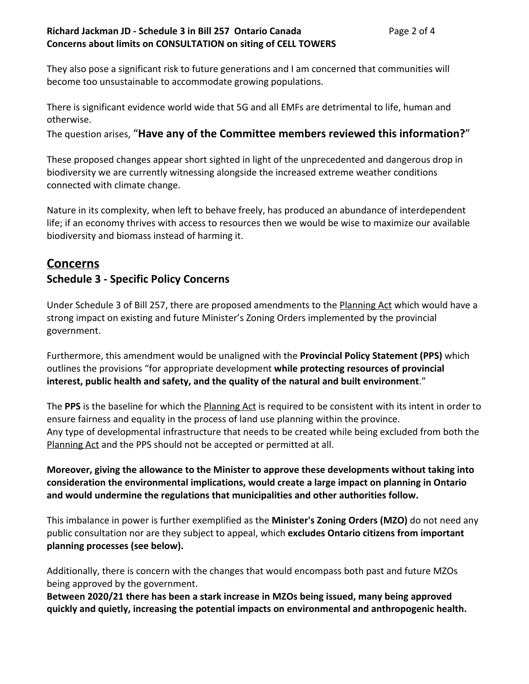### **Richard Jackman JD - Schedule 3 in Bill 257 Ontario Canada** Page 2 of 4 **Concerns about limits on CONSULTATION on siting of CELL TOWERS**

They also pose a significant risk to future generations and I am concerned that communities will become too unsustainable to accommodate growing populations.

There is significant evidence world wide that 5G and all EMFs are detrimental to life, human and otherwise.

The question arises, "**Have any of the Committee members reviewed this information?**"

These proposed changes appear short sighted in light of the unprecedented and dangerous drop in biodiversity we are currently witnessing alongside the increased extreme weather conditions connected with climate change.

Nature in its complexity, when left to behave freely, has produced an abundance of interdependent life; if an economy thrives with access to resources then we would be wise to maximize our available biodiversity and biomass instead of harming it.

# **Concerns**

## **Schedule 3 - Specific Policy Concerns**

Under Schedule 3 of Bill 257, there are proposed amendments to the Planning Act which would have a strong impact on existing and future Minister's Zoning Orders implemented by the provincial government.

Furthermore, this amendment would be unaligned with the **Provincial Policy Statement (PPS)** which outlines the provisions "for appropriate development **while protecting resources of provincial interest, public health and safety, and the quality of the natural and built environment**."

The **PPS** is the baseline for which the Planning Act is required to be consistent with its intent in order to ensure fairness and equality in the process of land use planning within the province. Any type of developmental infrastructure that needs to be created while being excluded from both the Planning Act and the PPS should not be accepted or permitted at all.

**Moreover, giving the allowance to the Minister to approve these developments without taking into consideration the environmental implications, would create a large impact on planning in Ontario and would undermine the regulations that municipalities and other authorities follow.**

This imbalance in power is further exemplified as the **Minister's Zoning Orders (MZO)** do not need any public consultation nor are they subject to appeal, which **excludes Ontario citizens from important planning processes (see below).**

Additionally, there is concern with the changes that would encompass both past and future MZOs being approved by the government.

**Between 2020/21 there has been a stark increase in MZOs being issued, many being approved quickly and quietly, increasing the potential impacts on environmental and anthropogenic health.**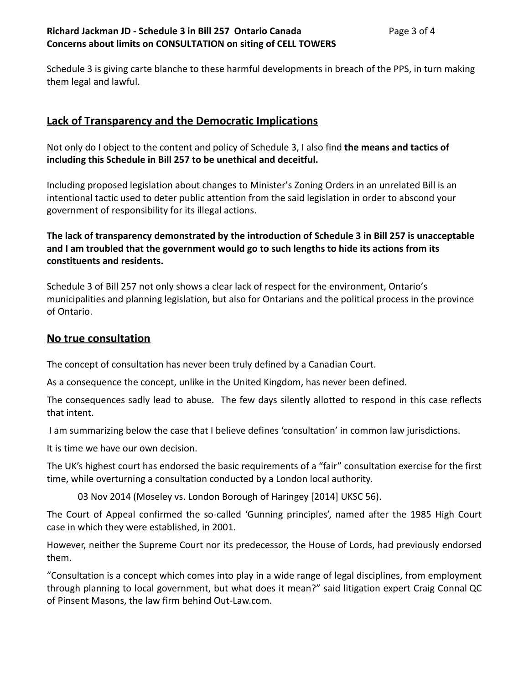#### **Richard Jackman JD - Schedule 3 in Bill 257 Ontario Canada** Page 3 of 4 **Concerns about limits on CONSULTATION on siting of CELL TOWERS**

Schedule 3 is giving carte blanche to these harmful developments in breach of the PPS, in turn making them legal and lawful.

## **Lack of Transparency and the Democratic Implications**

Not only do I object to the content and policy of Schedule 3, I also find **the means and tactics of including this Schedule in Bill 257 to be unethical and deceitful.**

Including proposed legislation about changes to Minister's Zoning Orders in an unrelated Bill is an intentional tactic used to deter public attention from the said legislation in order to abscond your government of responsibility for its illegal actions.

### **The lack of transparency demonstrated by the introduction of Schedule 3 in Bill 257 is unacceptable and I am troubled that the government would go to such lengths to hide its actions from its constituents and residents.**

Schedule 3 of Bill 257 not only shows a clear lack of respect for the environment, Ontario's municipalities and planning legislation, but also for Ontarians and the political process in the province of Ontario.

## **No true consultation**

The concept of consultation has never been truly defined by a Canadian Court.

As a consequence the concept, unlike in the United Kingdom, has never been defined.

The consequences sadly lead to abuse. The few days silently allotted to respond in this case reflects that intent.

I am summarizing below the case that I believe defines 'consultation' in common law jurisdictions.

It is time we have our own decision.

The UK's highest court has endorsed the basic requirements of a "fair" consultation exercise for the first time, while overturning a consultation conducted by a London local authority.

03 Nov 2014 (Moseley vs. London Borough of Haringey [2014] UKSC 56).

The Court of Appeal confirmed the so-called 'Gunning principles', named after the 1985 High Court case in which they were established, in 2001.

However, neither the Supreme Court nor its predecessor, the House of Lords, had previously endorsed them.

"Consultation is a concept which comes into play in a wide range of legal disciplines, from employment through planning to local government, but what does it mean?" said litigation expert Craig Connal QC of Pinsent Masons, the law firm behind Out-Law.com.